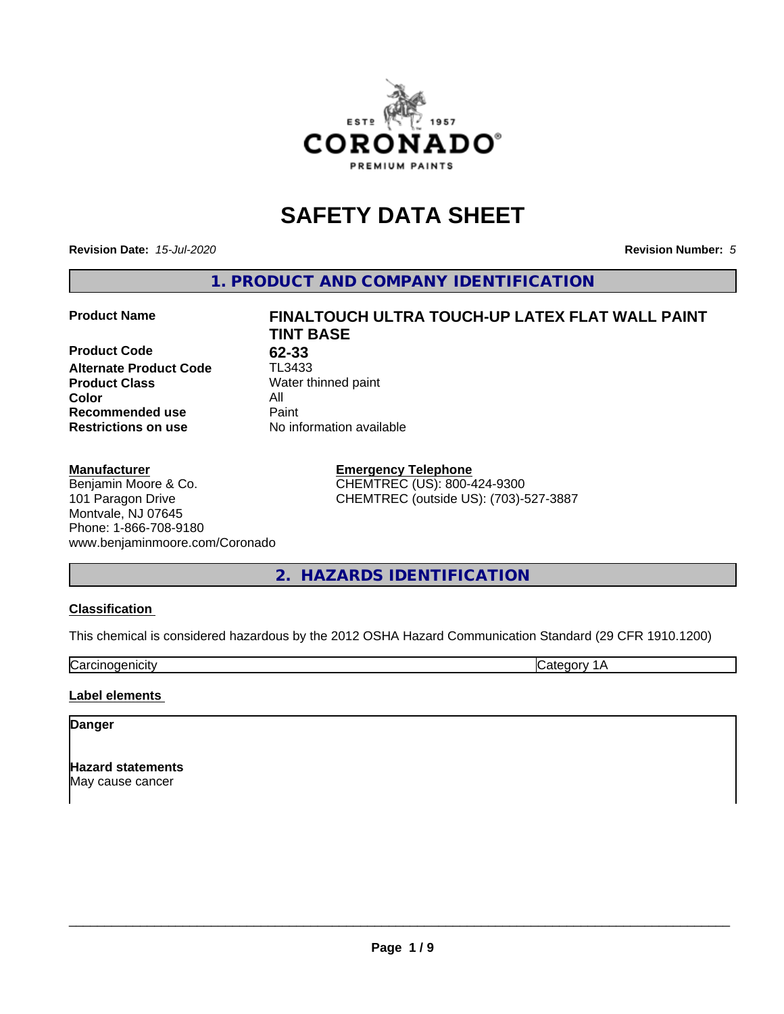

# **SAFETY DATA SHEET**

**Revision Date:** *15-Jul-2020* **Revision Number:** *5*

**1. PRODUCT AND COMPANY IDENTIFICATION**

#### **Product Name FINALTOUCH ULTRA TOUCH-UP LATEX FLAT WALL PAINT**

**Product Code** 62-33<br> **Alternate Product Code** TL3433 **Alternate Product Code Product Class** Water thinned paint<br> **Color** All **Color** All **Recommended use Caint Restrictions on use** No information available

# **Manufacturer**

Benjamin Moore & Co. 101 Paragon Drive Montvale, NJ 07645 Phone: 1-866-708-9180 www.benjaminmoore.com/Coronado

# **TINT BASE**

**Emergency Telephone** CHEMTREC (US): 800-424-9300 CHEMTREC (outside US): (703)-527-3887

**2. HAZARDS IDENTIFICATION**

# **Classification**

This chemical is considered hazardous by the 2012 OSHA Hazard Communication Standard (29 CFR 1910.1200)

Carcinogenicity **Category 1A** 

# **Label elements**

# **Danger**

**Hazard statements** May cause cancer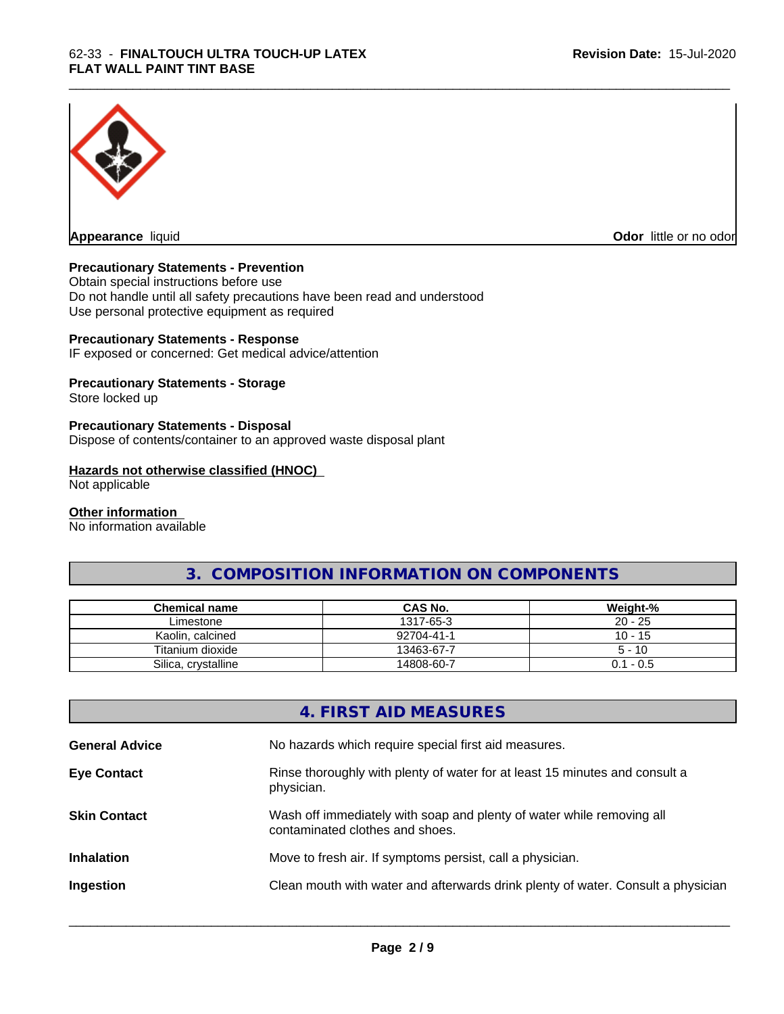

**Appearance** liquid

**Odor** little or no odor

# **Precautionary Statements - Prevention**

Obtain special instructions before use Do not handle until all safety precautions have been read and understood Use personal protective equipment as required

# **Precautionary Statements - Response**

IF exposed or concerned: Get medical advice/attention

# **Precautionary Statements - Storage**

Store locked up

# **Precautionary Statements - Disposal**

Dispose of contents/container to an approved waste disposal plant

#### **Hazards not otherwise classified (HNOC)**

Not applicable

#### **Other information**

No information available

# **3. COMPOSITION INFORMATION ON COMPONENTS**

\_\_\_\_\_\_\_\_\_\_\_\_\_\_\_\_\_\_\_\_\_\_\_\_\_\_\_\_\_\_\_\_\_\_\_\_\_\_\_\_\_\_\_\_\_\_\_\_\_\_\_\_\_\_\_\_\_\_\_\_\_\_\_\_\_\_\_\_\_\_\_\_\_\_\_\_\_\_\_\_\_\_\_\_\_\_\_\_\_\_\_\_\_

| Chemical name       | <b>CAS No.</b> | Weight-%    |
|---------------------|----------------|-------------|
| Limestone           | 1317-65-3      | $20 - 25$   |
| Kaolin, calcined    | 92704-41-1     | $10 - 15$   |
| Titanium dioxide    | 13463-67-7     | $5 - 10$    |
| Silica, crystalline | 14808-60-7     | $0.1 - 0.5$ |

# **4. FIRST AID MEASURES**

| <b>General Advice</b> | No hazards which require special first aid measures.                                                     |
|-----------------------|----------------------------------------------------------------------------------------------------------|
| <b>Eye Contact</b>    | Rinse thoroughly with plenty of water for at least 15 minutes and consult a<br>physician.                |
| <b>Skin Contact</b>   | Wash off immediately with soap and plenty of water while removing all<br>contaminated clothes and shoes. |
| <b>Inhalation</b>     | Move to fresh air. If symptoms persist, call a physician.                                                |
| Ingestion             | Clean mouth with water and afterwards drink plenty of water. Consult a physician                         |
|                       |                                                                                                          |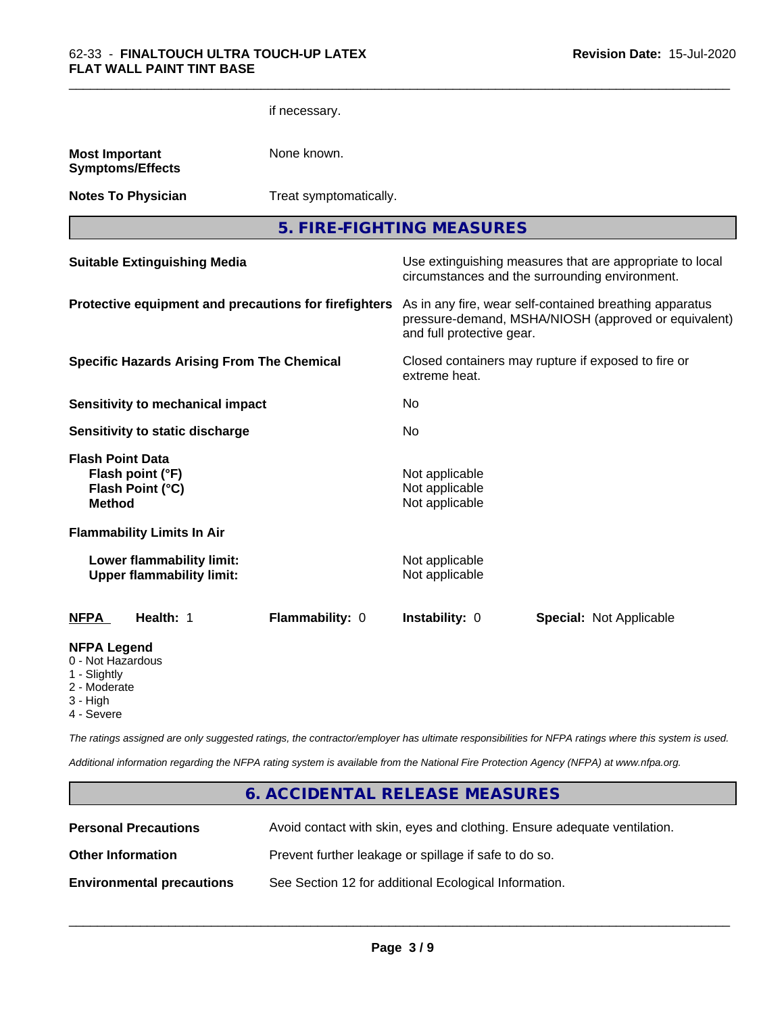|                                                                         |                                                               | if necessary.                                         |                                                    |                                                                                                                 |
|-------------------------------------------------------------------------|---------------------------------------------------------------|-------------------------------------------------------|----------------------------------------------------|-----------------------------------------------------------------------------------------------------------------|
| <b>Most Important</b>                                                   | <b>Symptoms/Effects</b>                                       | None known.                                           |                                                    |                                                                                                                 |
|                                                                         | <b>Notes To Physician</b>                                     | Treat symptomatically.                                |                                                    |                                                                                                                 |
|                                                                         |                                                               |                                                       | 5. FIRE-FIGHTING MEASURES                          |                                                                                                                 |
|                                                                         | <b>Suitable Extinguishing Media</b>                           |                                                       |                                                    | Use extinguishing measures that are appropriate to local<br>circumstances and the surrounding environment.      |
|                                                                         |                                                               | Protective equipment and precautions for firefighters | and full protective gear.                          | As in any fire, wear self-contained breathing apparatus<br>pressure-demand, MSHA/NIOSH (approved or equivalent) |
|                                                                         | <b>Specific Hazards Arising From The Chemical</b>             |                                                       | extreme heat.                                      | Closed containers may rupture if exposed to fire or                                                             |
|                                                                         | <b>Sensitivity to mechanical impact</b>                       |                                                       | No.                                                |                                                                                                                 |
|                                                                         | Sensitivity to static discharge                               |                                                       | No                                                 |                                                                                                                 |
| <b>Flash Point Data</b><br><b>Method</b>                                | Flash point (°F)<br>Flash Point (°C)                          |                                                       | Not applicable<br>Not applicable<br>Not applicable |                                                                                                                 |
|                                                                         | <b>Flammability Limits In Air</b>                             |                                                       |                                                    |                                                                                                                 |
|                                                                         | Lower flammability limit:<br><b>Upper flammability limit:</b> |                                                       | Not applicable<br>Not applicable                   |                                                                                                                 |
| <b>NFPA</b>                                                             | Health: 1                                                     | Flammability: 0                                       | Instability: 0                                     | <b>Special: Not Applicable</b>                                                                                  |
| <b>NFPA Legend</b><br>0 - Not Hazardous<br>1 - Slightly<br>2 - Moderate |                                                               |                                                       |                                                    |                                                                                                                 |

\_\_\_\_\_\_\_\_\_\_\_\_\_\_\_\_\_\_\_\_\_\_\_\_\_\_\_\_\_\_\_\_\_\_\_\_\_\_\_\_\_\_\_\_\_\_\_\_\_\_\_\_\_\_\_\_\_\_\_\_\_\_\_\_\_\_\_\_\_\_\_\_\_\_\_\_\_\_\_\_\_\_\_\_\_\_\_\_\_\_\_\_\_

- 3 High
- 4 Severe

*The ratings assigned are only suggested ratings, the contractor/employer has ultimate responsibilities for NFPA ratings where this system is used.*

*Additional information regarding the NFPA rating system is available from the National Fire Protection Agency (NFPA) at www.nfpa.org.*

# **6. ACCIDENTAL RELEASE MEASURES**

| <b>Personal Precautions</b>      | Avoid contact with skin, eyes and clothing. Ensure adequate ventilation. |
|----------------------------------|--------------------------------------------------------------------------|
| <b>Other Information</b>         | Prevent further leakage or spillage if safe to do so.                    |
| <b>Environmental precautions</b> | See Section 12 for additional Ecological Information.                    |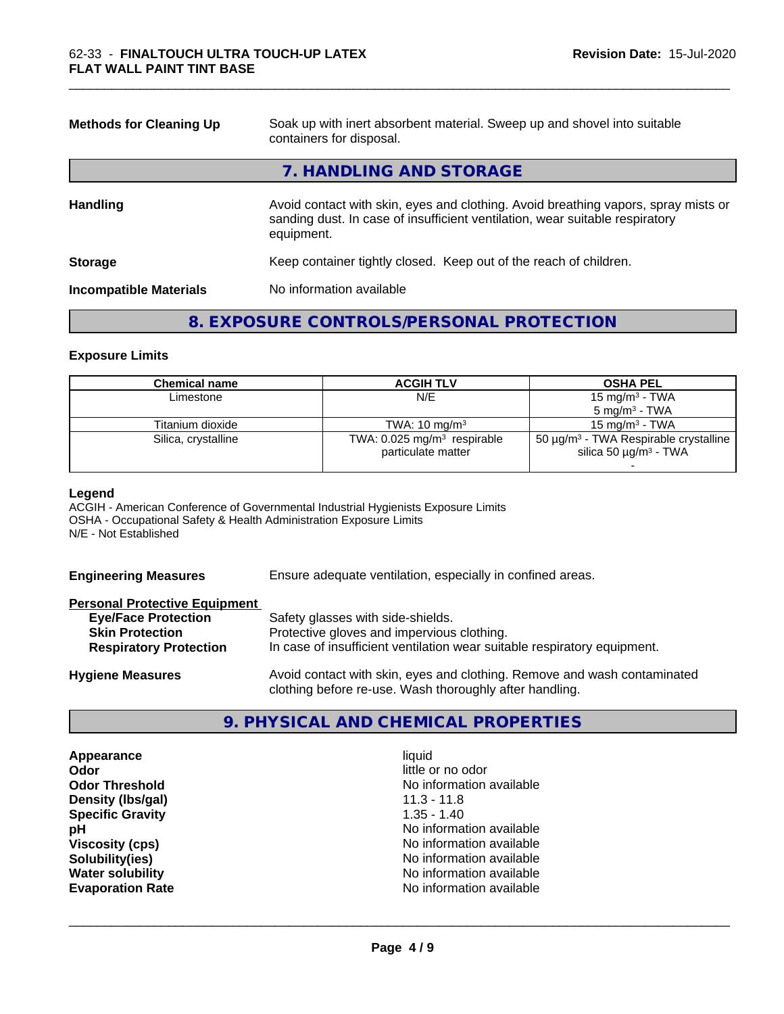| <b>Methods for Cleaning Up</b> | Soak up with inert absorbent material. Sweep up and shovel into suitable<br>containers for disposal.                                                                             |
|--------------------------------|----------------------------------------------------------------------------------------------------------------------------------------------------------------------------------|
|                                | 7. HANDLING AND STORAGE                                                                                                                                                          |
| <b>Handling</b>                | Avoid contact with skin, eyes and clothing. Avoid breathing vapors, spray mists or<br>sanding dust. In case of insufficient ventilation, wear suitable respiratory<br>equipment. |
| <b>Storage</b>                 | Keep container tightly closed. Keep out of the reach of children.                                                                                                                |
| <b>Incompatible Materials</b>  | No information available                                                                                                                                                         |

# **8. EXPOSURE CONTROLS/PERSONAL PROTECTION**

#### **Exposure Limits**

| Chemical name       | <b>ACGIH TLV</b>                                                | <b>OSHA PEL</b>                                                                                  |
|---------------------|-----------------------------------------------------------------|--------------------------------------------------------------------------------------------------|
| Limestone           | N/E                                                             | 15 mg/m $3$ - TWA                                                                                |
|                     |                                                                 | $5 \text{ mg/m}^3$ - TWA                                                                         |
| Titanium dioxide    | TWA: $10 \text{ mg/m}^3$                                        | 15 mg/m $3$ - TWA                                                                                |
| Silica, crystalline | TWA: $0.025$ mg/m <sup>3</sup> respirable<br>particulate matter | 50 $\mu$ g/m <sup>3</sup> - TWA Respirable crystalline<br>silica 50 $\mu$ g/m <sup>3</sup> - TWA |

#### **Legend**

ACGIH - American Conference of Governmental Industrial Hygienists Exposure Limits OSHA - Occupational Safety & Health Administration Exposure Limits N/E - Not Established

**Engineering Measures** Ensure adequate ventilation, especially in confined areas.

# **Personal Protective Equipment**

| <b>Eye/Face Protection</b>    | Safety glasses with side-shields.                                        |
|-------------------------------|--------------------------------------------------------------------------|
| <b>Skin Protection</b>        | Protective gloves and impervious clothing.                               |
| <b>Respiratory Protection</b> | In case of insufficient ventilation wear suitable respiratory equipment. |
| <b>Hygiene Measures</b>       | Avoid contact with skin, eyes and clothing. Remove and wash contaminated |

# **9. PHYSICAL AND CHEMICAL PROPERTIES**

clothing before re-use. Wash thoroughly after handling.

**Appearance** liquid **Odor** little or no odor **Density (lbs/gal)** 11.3 - 11.8 **Specific Gravity** 1.35 - 1.40

**Odor Threshold** No information available **pH** No information available **Viscosity (cps)** No information available<br> **Solubility (ies)** No information available<br>
No information available **Solubility(ies)**<br> **No information available**<br> **Water solubility**<br> **Water solubility No information available Evaporation Rate Evaporation Rate No information available**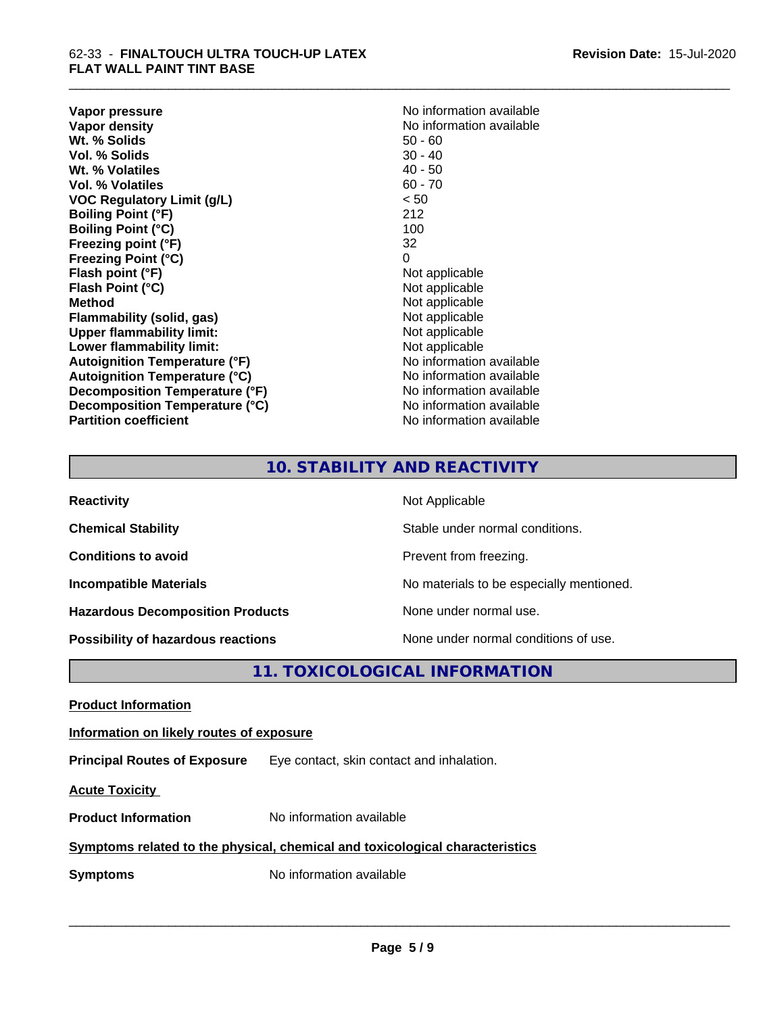**Vapor pressure** No information available<br> **Vapor density**<br> **Vapor density Wt. % Solids** 50 - 60<br> **Vol. % Solids** 50 - 40<br> **Vol. % Solids** 50 - 40 **Vol. % Solids** 30 - 40<br> **Wt. % Volatiles** 30 - 40 - 50 **Wt. % Volatiles Vol. % Volatiles** 60 - 70 **VOC Regulatory Limit (g/L)** < 50 **Boiling Point (°F)** 212 **Boiling Point (°C)** 100 **Freezing point (°F)** 32 **Freezing Point (°C)** 0 **Flash point (°F)** Not applicable **Flash Point (°C)**<br> **Method** Not applicable<br>
Not applicable<br>
Not applicable **Flammability** (solid, gas) **Upper flammability limit:**<br> **Lower flammability limit:** Not applicable Not applicable **Lower flammability limit:**<br> **Autoignition Temperature (°F)** Not applicable havailable **Autoignition Temperature (°F) Autoignition Temperature (°C)**<br> **Decomposition Temperature (°F)** No information available **Decomposition Temperature (°F) Decomposition Temperature (°C)** No information available **Partition coefficient Contract Community No information available** 

**No information available**<br>50 - 60 **Not applicable**<br>Not applicable

\_\_\_\_\_\_\_\_\_\_\_\_\_\_\_\_\_\_\_\_\_\_\_\_\_\_\_\_\_\_\_\_\_\_\_\_\_\_\_\_\_\_\_\_\_\_\_\_\_\_\_\_\_\_\_\_\_\_\_\_\_\_\_\_\_\_\_\_\_\_\_\_\_\_\_\_\_\_\_\_\_\_\_\_\_\_\_\_\_\_\_\_\_

# **10. STABILITY AND REACTIVITY**

| <b>Reactivity</b>                         | Not Applicable                           |
|-------------------------------------------|------------------------------------------|
| <b>Chemical Stability</b>                 | Stable under normal conditions.          |
| <b>Conditions to avoid</b>                | Prevent from freezing.                   |
| <b>Incompatible Materials</b>             | No materials to be especially mentioned. |
| <b>Hazardous Decomposition Products</b>   | None under normal use.                   |
| <b>Possibility of hazardous reactions</b> | None under normal conditions of use.     |

# **11. TOXICOLOGICAL INFORMATION**

**Product Information**

**Information on likely routes of exposure**

**Principal Routes of Exposure** Eye contact, skin contact and inhalation.

**Acute Toxicity** 

**Product Information** No information available

# **Symptoms related to the physical,chemical and toxicological characteristics**

**Symptoms** No information available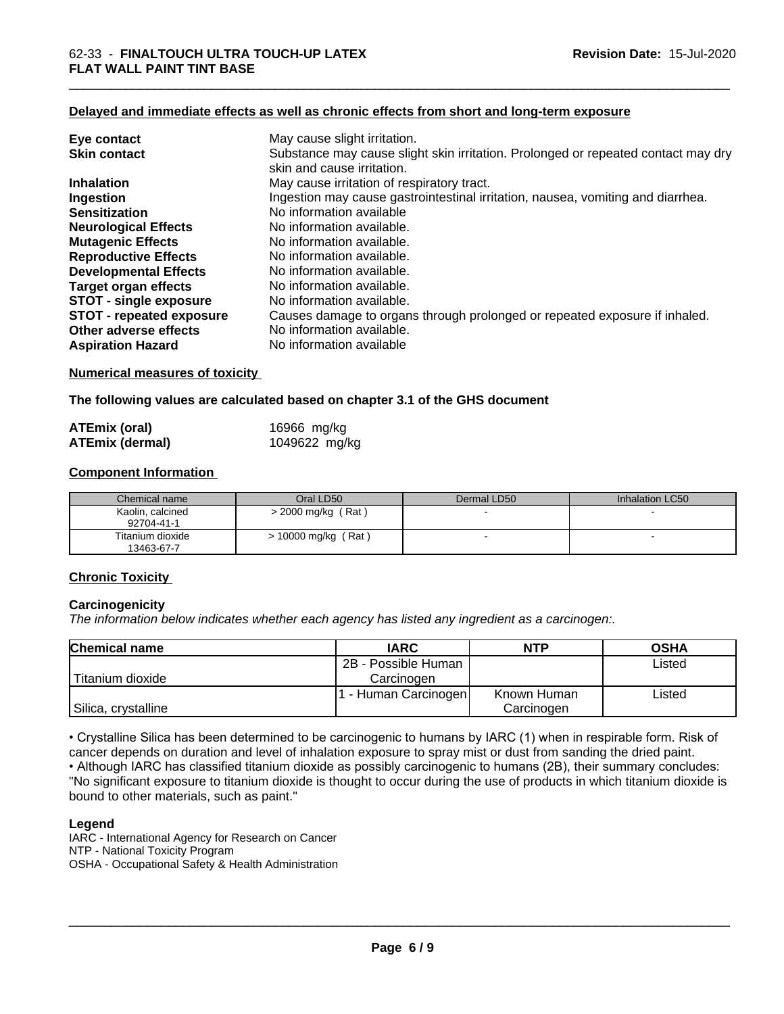#### **Delayed and immediate effects as well as chronic effects from short and long-term exposure**

| Eye contact                     | May cause slight irritation.                                                                                    |
|---------------------------------|-----------------------------------------------------------------------------------------------------------------|
| <b>Skin contact</b>             | Substance may cause slight skin irritation. Prolonged or repeated contact may dry<br>skin and cause irritation. |
| <b>Inhalation</b>               | May cause irritation of respiratory tract.                                                                      |
| Ingestion                       | Ingestion may cause gastrointestinal irritation, nausea, vomiting and diarrhea.                                 |
| <b>Sensitization</b>            | No information available                                                                                        |
| <b>Neurological Effects</b>     | No information available.                                                                                       |
| <b>Mutagenic Effects</b>        | No information available.                                                                                       |
| <b>Reproductive Effects</b>     | No information available.                                                                                       |
| <b>Developmental Effects</b>    | No information available.                                                                                       |
| <b>Target organ effects</b>     | No information available.                                                                                       |
| <b>STOT - single exposure</b>   | No information available.                                                                                       |
| <b>STOT - repeated exposure</b> | Causes damage to organs through prolonged or repeated exposure if inhaled.                                      |
| Other adverse effects           | No information available.                                                                                       |
| <b>Aspiration Hazard</b>        | No information available                                                                                        |

#### **Numerical measures of toxicity**

# **The following values are calculated based on chapter 3.1 of the GHS document**

| <b>ATEmix (oral)</b>   | 16966 mg/kg   |
|------------------------|---------------|
| <b>ATEmix (dermal)</b> | 1049622 mg/kg |

# **Component Information**

| Chemical name                  | Oral LD50           | Dermal LD50 | Inhalation LC50 |
|--------------------------------|---------------------|-------------|-----------------|
| Kaolin, calcined<br>92704-41-1 | > 2000 mg/kg (Rat)  |             |                 |
| Titanium dioxide<br>13463-67-7 | > 10000 mg/kg (Rat) |             |                 |

# **Chronic Toxicity**

#### **Carcinogenicity**

*The information below indicateswhether each agency has listed any ingredient as a carcinogen:.*

| <b>Chemical name</b> | <b>IARC</b>         | <b>NTP</b>  | <b>OSHA</b> |
|----------------------|---------------------|-------------|-------------|
|                      | 2B - Possible Human |             | Listed      |
| Titanium dioxide     | Carcinogen          |             |             |
|                      | - Human Carcinogen  | Known Human | Listed      |
| Silica, crystalline  |                     | Carcinogen  |             |

• Crystalline Silica has been determined to be carcinogenic to humans by IARC (1) when in respirable form. Risk of cancer depends on duration and level of inhalation exposure to spray mist or dust from sanding the dried paint.• Although IARC has classified titanium dioxide as possibly carcinogenic to humans (2B), their summary concludes: "No significant exposure to titanium dioxide is thought to occur during the use of products in which titanium dioxide is bound to other materials, such as paint."

#### **Legend**

IARC - International Agency for Research on Cancer NTP - National Toxicity Program OSHA - Occupational Safety & Health Administration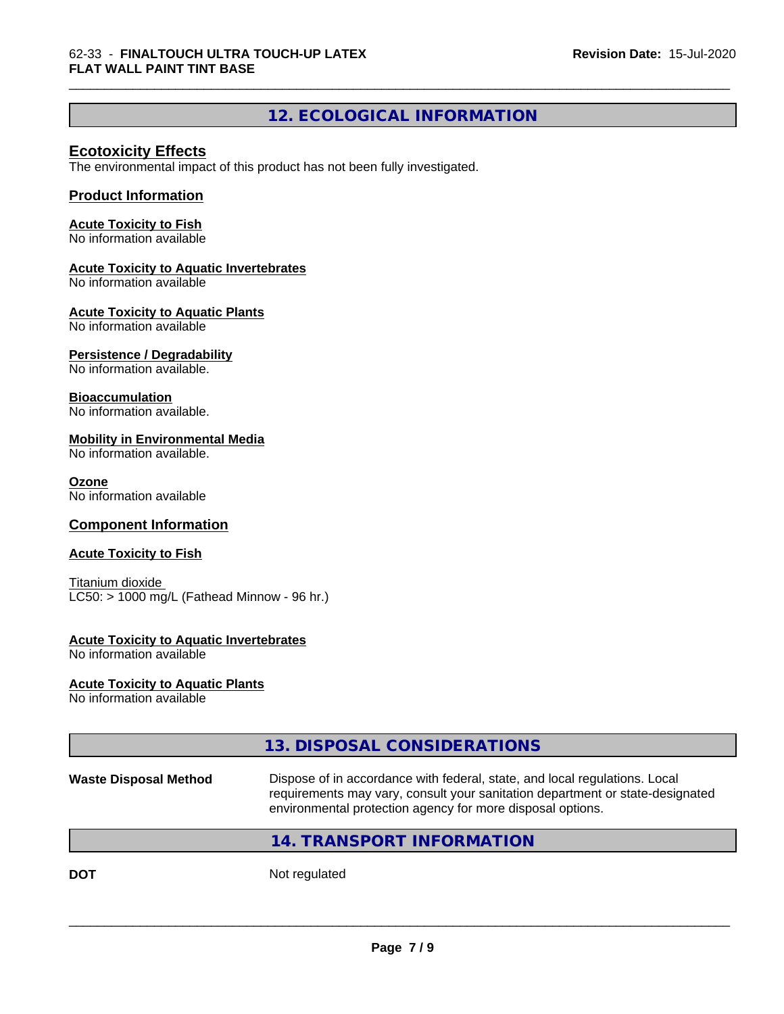# **12. ECOLOGICAL INFORMATION**

# **Ecotoxicity Effects**

The environmental impact of this product has not been fully investigated.

# **Product Information**

#### **Acute Toxicity to Fish**

No information available

# **Acute Toxicity to Aquatic Invertebrates**

No information available

#### **Acute Toxicity to Aquatic Plants**

No information available

# **Persistence / Degradability**

No information available.

#### **Bioaccumulation**

No information available.

# **Mobility in Environmental Media**

No information available.

#### **Ozone**

No information available

# **Component Information**

# **Acute Toxicity to Fish**

Titanium dioxide  $LC50:$  > 1000 mg/L (Fathead Minnow - 96 hr.)

# **Acute Toxicity to Aquatic Invertebrates**

No information available

# **Acute Toxicity to Aquatic Plants**

No information available

# **13. DISPOSAL CONSIDERATIONS**

**Waste Disposal Method** Dispose of in accordance with federal, state, and local regulations. Local requirements may vary, consult your sanitation department or state-designated environmental protection agency for more disposal options.

 $\overline{\phantom{a}}$  ,  $\overline{\phantom{a}}$  ,  $\overline{\phantom{a}}$  ,  $\overline{\phantom{a}}$  ,  $\overline{\phantom{a}}$  ,  $\overline{\phantom{a}}$  ,  $\overline{\phantom{a}}$  ,  $\overline{\phantom{a}}$  ,  $\overline{\phantom{a}}$  ,  $\overline{\phantom{a}}$  ,  $\overline{\phantom{a}}$  ,  $\overline{\phantom{a}}$  ,  $\overline{\phantom{a}}$  ,  $\overline{\phantom{a}}$  ,  $\overline{\phantom{a}}$  ,  $\overline{\phantom{a}}$ 

# **14. TRANSPORT INFORMATION**

**DOT** Not regulated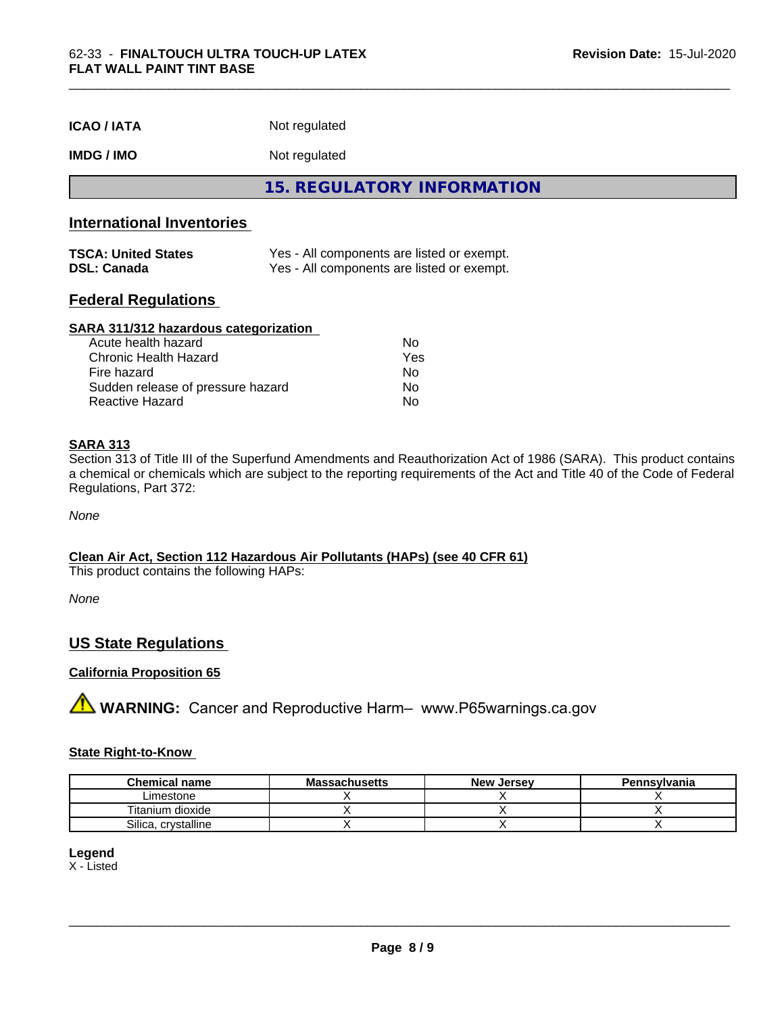| <b>ICAO / IATA</b> | Not regulated |  |
|--------------------|---------------|--|
|--------------------|---------------|--|

# **IMDG / IMO** Not regulated

**15. REGULATORY INFORMATION**

# **International Inventories**

| <b>TSCA: United States</b> | Yes - All components are listed or exempt. |
|----------------------------|--------------------------------------------|
| <b>DSL: Canada</b>         | Yes - All components are listed or exempt. |

# **Federal Regulations**

#### **SARA 311/312 hazardous categorization**

| Acute health hazard               | N٥  |
|-----------------------------------|-----|
| Chronic Health Hazard             | Yes |
| Fire hazard                       | Nο  |
| Sudden release of pressure hazard | Nο  |
| Reactive Hazard                   | N٥  |

# **SARA 313**

Section 313 of Title III of the Superfund Amendments and Reauthorization Act of 1986 (SARA). This product contains a chemical or chemicals which are subject to the reporting requirements of the Act and Title 40 of the Code of Federal Regulations, Part 372:

*None*

# **Clean Air Act,Section 112 Hazardous Air Pollutants (HAPs) (see 40 CFR 61)**

This product contains the following HAPs:

*None*

# **US State Regulations**

# **California Proposition 65**

**A** WARNING: Cancer and Reproductive Harm– www.P65warnings.ca.gov

#### **State Right-to-Know**

| <b>Chemical name</b>         | ıssachusetts<br>uvice: | <b>New</b><br>, Jersev | Pennsylvania |
|------------------------------|------------------------|------------------------|--------------|
| Limestone                    |                        |                        |              |
| $\cdots$<br>Fitanium dioxide |                        |                        |              |
| Silica<br>crystalline        |                        |                        |              |

# **Legend**

X - Listed